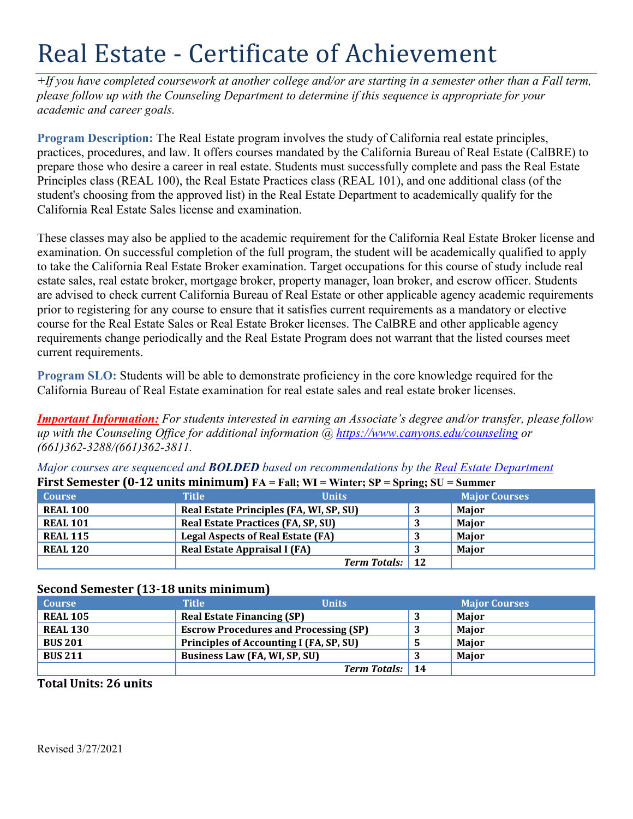# Real Estate - Certificate of Achievement

*+If you have completed coursework at another college and/or are starting in a semester other than a Fall term, please follow up with the Counseling Department to determine if this sequence is appropriate for your academic and career goals.* 

 practices, procedures, and law. It offers courses mandated by the California Bureau of Real Estate (CalBRE) to **Program Description:** The Real Estate program involves the study of California real estate principles, prepare those who desire a career in real estate. Students must successfully complete and pass the Real Estate Principles class (REAL 100), the Real Estate Practices class (REAL 101), and one additional class (of the student's choosing from the approved list) in the Real Estate Department to academically qualify for the California Real Estate Sales license and examination.

 These classes may also be applied to the academic requirement for the California Real Estate Broker license and prior to registering for any course to ensure that it satisfies current requirements as a mandatory or elective examination. On successful completion of the full program, the student will be academically qualified to apply to take the California Real Estate Broker examination. Target occupations for this course of study include real estate sales, real estate broker, mortgage broker, property manager, loan broker, and escrow officer. Students are advised to check current California Bureau of Real Estate or other applicable agency academic requirements course for the Real Estate Sales or Real Estate Broker licenses. The CalBRE and other applicable agency requirements change periodically and the Real Estate Program does not warrant that the listed courses meet current requirements.

**Program SLO:** Students will be able to demonstrate proficiency in the core knowledge required for the California Bureau of Real Estate examination for real estate sales and real estate broker licenses.

 *up with the Counseling Office for additional information @<https://www.canyons.edu/counseling> or Important Information: For students interested in earning an Associate's degree and/or transfer, please follow (661)362-3288/(661)362-3811.* 

*Major courses are sequenced and BOLDED based on recommendations by the Real Estate Department*  **First Semester (0-12 units minimum)**  $FA = Fall$ : WI = Winter: SP = Spring: SU = Summer

| <b>Course</b>   | <b>Title</b>                              | <b>Units</b>                            | <b>Major Courses</b> |
|-----------------|-------------------------------------------|-----------------------------------------|----------------------|
| <b>REAL 100</b> |                                           | Real Estate Principles (FA, WI, SP, SU) | <b>Maior</b>         |
| <b>REAL 101</b> | <b>Real Estate Practices (FA, SP, SU)</b> |                                         | <b>Maior</b>         |
| <b>REAL 115</b> | <b>Legal Aspects of Real Estate (FA)</b>  |                                         | Major                |
| <b>REAL 120</b> | Real Estate Appraisal I (FA)              |                                         | <b>Maior</b>         |
|                 |                                           | <b>Term Totals:</b> 12                  |                      |

| Second Semester (13-18 units minimum) |                                              |  |                      |
|---------------------------------------|----------------------------------------------|--|----------------------|
| <b>Course</b>                         | <b>Title</b><br><b>Units</b>                 |  | <b>Major Courses</b> |
| <b>REAL 105</b>                       | <b>Real Estate Financing (SP)</b>            |  | Major                |
| <b>REAL 130</b>                       | <b>Escrow Procedures and Processing (SP)</b> |  | Major                |
| <b>BUS 201</b>                        | Principles of Accounting I (FA, SP, SU)      |  | Major                |
| <b>BUS 211</b>                        | Business Law (FA, WI, SP, SU)                |  | Major                |
|                                       | <b>Term Totals:</b> 14                       |  |                      |

## **Total Units: 26 units**